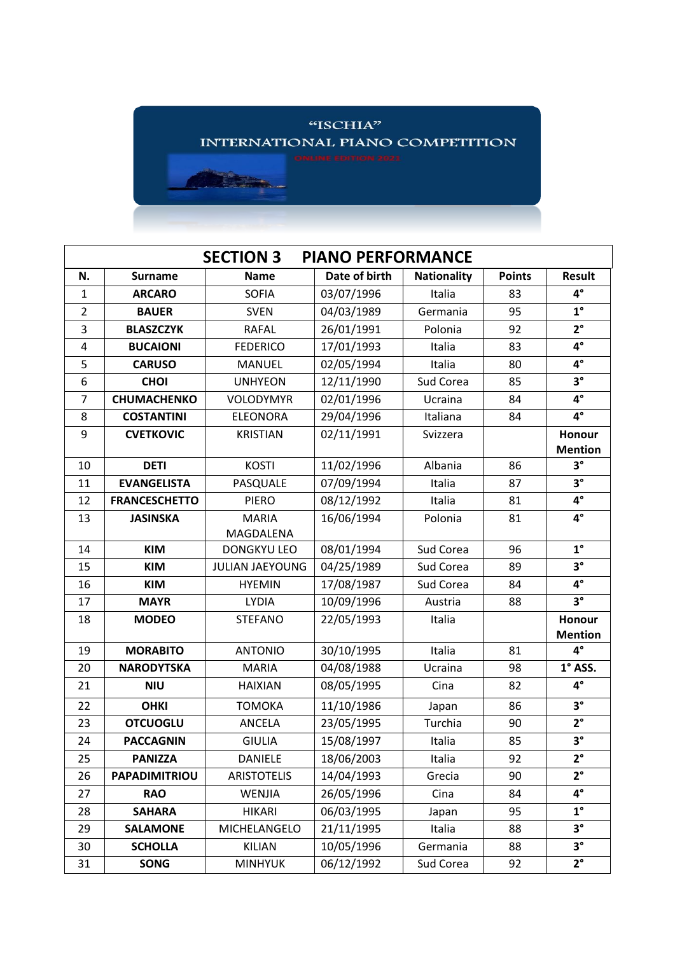

| <b>SECTION 3</b><br><b>PIANO PERFORMANCE</b> |                      |                        |               |                    |               |                          |  |  |  |  |
|----------------------------------------------|----------------------|------------------------|---------------|--------------------|---------------|--------------------------|--|--|--|--|
| N.                                           | <b>Surname</b>       | <b>Name</b>            | Date of birth | <b>Nationality</b> | <b>Points</b> | <b>Result</b>            |  |  |  |  |
| $\mathbf{1}$                                 | <b>ARCARO</b>        | <b>SOFIA</b>           | 03/07/1996    | Italia             | 83            | $4^{\circ}$              |  |  |  |  |
| $\overline{2}$                               | <b>BAUER</b>         | <b>SVEN</b>            | 04/03/1989    | Germania           | 95            | $1^{\circ}$              |  |  |  |  |
| 3                                            | <b>BLASZCZYK</b>     | <b>RAFAL</b>           | 26/01/1991    | Polonia            | 92            | $2^{\circ}$              |  |  |  |  |
| 4                                            | <b>BUCAIONI</b>      | <b>FEDERICO</b>        | 17/01/1993    | Italia             | 83            | $4^\circ$                |  |  |  |  |
| 5                                            | <b>CARUSO</b>        | <b>MANUEL</b>          | 02/05/1994    | Italia             | 80            | $4^\circ$                |  |  |  |  |
| 6                                            | <b>CHOI</b>          | <b>UNHYEON</b>         | 12/11/1990    | Sud Corea          | 85            | $3^\circ$                |  |  |  |  |
| $\overline{7}$                               | <b>CHUMACHENKO</b>   | <b>VOLODYMYR</b>       | 02/01/1996    | Ucraina            | 84            | $4^\circ$                |  |  |  |  |
| 8                                            | <b>COSTANTINI</b>    | <b>ELEONORA</b>        | 29/04/1996    | Italiana           | 84            | $4^{\circ}$              |  |  |  |  |
| 9                                            | <b>CVETKOVIC</b>     | <b>KRISTIAN</b>        | 02/11/1991    | Svizzera           |               | Honour                   |  |  |  |  |
|                                              |                      |                        |               |                    |               | <b>Mention</b>           |  |  |  |  |
| 10                                           | <b>DETI</b>          | <b>KOSTI</b>           | 11/02/1996    | Albania            | 86            | $3^{\circ}$              |  |  |  |  |
| 11                                           | <b>EVANGELISTA</b>   | PASQUALE               | 07/09/1994    | Italia             | 87            | $3^\circ$                |  |  |  |  |
| 12                                           | <b>FRANCESCHETTO</b> | <b>PIERO</b>           | 08/12/1992    | Italia             | 81            | $4^\circ$                |  |  |  |  |
| 13                                           | <b>JASINSKA</b>      | <b>MARIA</b>           | 16/06/1994    | Polonia            | 81            | $4^\circ$                |  |  |  |  |
|                                              |                      | MAGDALENA              |               |                    |               |                          |  |  |  |  |
| 14                                           | <b>KIM</b>           | <b>DONGKYU LEO</b>     | 08/01/1994    | Sud Corea          | 96            | $1^{\circ}$              |  |  |  |  |
| 15                                           | <b>KIM</b>           | <b>JULIAN JAEYOUNG</b> | 04/25/1989    | Sud Corea          | 89            | $3^\circ$                |  |  |  |  |
| 16                                           | <b>KIM</b>           | <b>HYEMIN</b>          | 17/08/1987    | Sud Corea          | 84            | $4^\circ$                |  |  |  |  |
| 17                                           | <b>MAYR</b>          | <b>LYDIA</b>           | 10/09/1996    | Austria            | 88            | $3^{\circ}$              |  |  |  |  |
| 18                                           | <b>MODEO</b>         | <b>STEFANO</b>         | 22/05/1993    | Italia             |               | Honour<br><b>Mention</b> |  |  |  |  |
| 19                                           | <b>MORABITO</b>      | <b>ANTONIO</b>         | 30/10/1995    | Italia             | 81            | $4^\circ$                |  |  |  |  |
| 20                                           | <b>NARODYTSKA</b>    | <b>MARIA</b>           | 04/08/1988    | Ucraina            | 98            | $1^\circ$ ASS.           |  |  |  |  |
| 21                                           | <b>NIU</b>           | <b>HAIXIAN</b>         | 08/05/1995    | Cina               | 82            | $4^{\circ}$              |  |  |  |  |
| 22                                           | <b>OHKI</b>          | <b>TOMOKA</b>          | 11/10/1986    | Japan              | 86            | $3^{\circ}$              |  |  |  |  |
| 23                                           | <b>OTCUOGLU</b>      | <b>ANCELA</b>          | 23/05/1995    | Turchia            | 90            | $2^{\circ}$              |  |  |  |  |
| 24                                           | <b>PACCAGNIN</b>     | <b>GIULIA</b>          | 15/08/1997    | Italia             | 85            | $3^\circ$                |  |  |  |  |
| 25                                           | <b>PANIZZA</b>       | <b>DANIELE</b>         | 18/06/2003    | Italia             | 92            | $2^{\circ}$              |  |  |  |  |
| 26                                           | <b>PAPADIMITRIOU</b> | <b>ARISTOTELIS</b>     | 14/04/1993    | Grecia             | 90            | $2^{\circ}$              |  |  |  |  |
| 27                                           | <b>RAO</b>           | WENJIA                 | 26/05/1996    | Cina               | 84            | $4^{\circ}$              |  |  |  |  |
| 28                                           | <b>SAHARA</b>        | <b>HIKARI</b>          | 06/03/1995    | Japan              | 95            | $1^{\circ}$              |  |  |  |  |
| 29                                           | <b>SALAMONE</b>      | MICHELANGELO           | 21/11/1995    | Italia             | 88            | $3^{\circ}$              |  |  |  |  |
| 30                                           | <b>SCHOLLA</b>       | KILIAN                 | 10/05/1996    | Germania           | 88            | $3^{\circ}$              |  |  |  |  |
| 31                                           | <b>SONG</b>          | <b>MINHYUK</b>         | 06/12/1992    | Sud Corea          | 92            | $2^{\circ}$              |  |  |  |  |